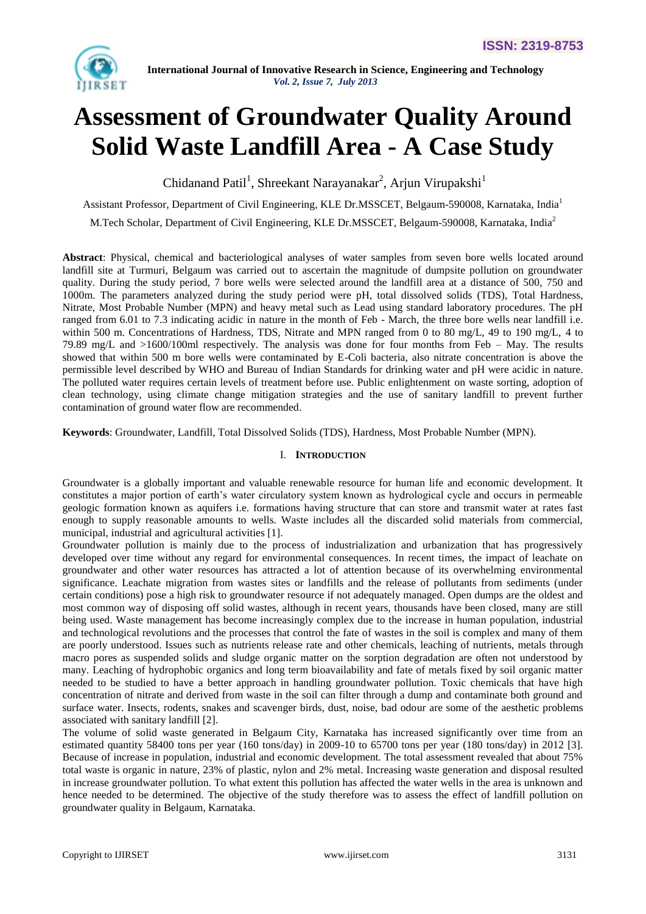

# **Assessment of Groundwater Quality Around Solid Waste Landfill Area - A Case Study**

Chidanand Patil<sup>1</sup>, Shreekant Narayanakar<sup>2</sup>, Arjun Virupakshi<sup>1</sup>

Assistant Professor, Department of Civil Engineering, KLE Dr.MSSCET, Belgaum-590008, Karnataka, India<sup>1</sup>

M.Tech Scholar, Department of Civil Engineering, KLE Dr.MSSCET, Belgaum-590008, Karnataka, India<sup>2</sup>

**Abstract**: Physical, chemical and bacteriological analyses of water samples from seven bore wells located around landfill site at Turmuri, Belgaum was carried out to ascertain the magnitude of dumpsite pollution on groundwater quality. During the study period, 7 bore wells were selected around the landfill area at a distance of 500, 750 and 1000m. The parameters analyzed during the study period were pH, total dissolved solids (TDS), Total Hardness, Nitrate, Most Probable Number (MPN) and heavy metal such as Lead using standard laboratory procedures. The pH ranged from 6.01 to 7.3 indicating acidic in nature in the month of Feb - March, the three bore wells near landfill i.e. within 500 m. Concentrations of Hardness, TDS, Nitrate and MPN ranged from 0 to 80 mg/L, 49 to 190 mg/L, 4 to 79.89 mg/L and >1600/100ml respectively. The analysis was done for four months from Feb – May. The results showed that within 500 m bore wells were contaminated by E-Coli bacteria, also nitrate concentration is above the permissible level described by WHO and Bureau of Indian Standards for drinking water and pH were acidic in nature. The polluted water requires certain levels of treatment before use. Public enlightenment on waste sorting, adoption of clean technology, using climate change mitigation strategies and the use of sanitary landfill to prevent further contamination of ground water flow are recommended.

**Keywords**: Groundwater, Landfill, Total Dissolved Solids (TDS), Hardness, Most Probable Number (MPN).

## I. **INTRODUCTION**

Groundwater is a globally important and valuable renewable resource for human life and economic development. It constitutes a major portion of earth's water circulatory system known as hydrological cycle and occurs in permeable geologic formation known as aquifers i.e. formations having structure that can store and transmit water at rates fast enough to supply reasonable amounts to wells. Waste includes all the discarded solid materials from commercial, municipal, industrial and agricultural activities [1].

Groundwater pollution is mainly due to the process of industrialization and urbanization that has progressively developed over time without any regard for environmental consequences. In recent times, the impact of leachate on groundwater and other water resources has attracted a lot of attention because of its overwhelming environmental significance. Leachate migration from wastes sites or landfills and the release of pollutants from sediments (under certain conditions) pose a high risk to groundwater resource if not adequately managed. Open dumps are the oldest and most common way of disposing off solid wastes, although in recent years, thousands have been closed, many are still being used. Waste management has become increasingly complex due to the increase in human population, industrial and technological revolutions and the processes that control the fate of wastes in the soil is complex and many of them are poorly understood. Issues such as nutrients release rate and other chemicals, leaching of nutrients, metals through macro pores as suspended solids and sludge organic matter on the sorption degradation are often not understood by many. Leaching of hydrophobic organics and long term bioavailability and fate of metals fixed by soil organic matter needed to be studied to have a better approach in handling groundwater pollution. Toxic chemicals that have high concentration of nitrate and derived from waste in the soil can filter through a dump and contaminate both ground and surface water. Insects, rodents, snakes and scavenger birds, dust, noise, bad odour are some of the aesthetic problems associated with sanitary landfill [2].

The volume of solid waste generated in Belgaum City, Karnataka has increased significantly over time from an estimated quantity 58400 tons per year (160 tons/day) in 2009-10 to 65700 tons per year (180 tons/day) in 2012 [3]. Because of increase in population, industrial and economic development. The total assessment revealed that about 75% total waste is organic in nature, 23% of plastic, nylon and 2% metal. Increasing waste generation and disposal resulted in increase groundwater pollution. To what extent this pollution has affected the water wells in the area is unknown and hence needed to be determined. The objective of the study therefore was to assess the effect of landfill pollution on groundwater quality in Belgaum, Karnataka.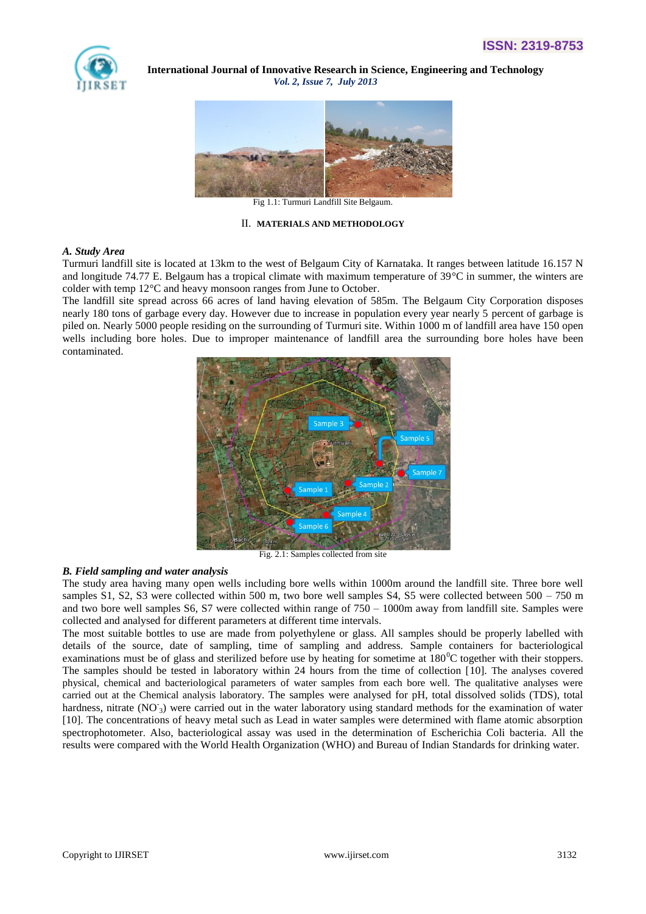



Fig 1.1: Turmuri Landfill Site Belgaum.

#### II. **MATERIALS AND METHODOLOGY**

#### *A. Study Area*

Turmuri landfill site is located at 13km to the west of Belgaum City of Karnataka. It ranges between latitude 16.157 N and longitude 74.77 E. Belgaum has a tropical climate with maximum temperature of  $39^{\circ}$ C in summer, the winters are colder with temp 12°C and heavy monsoon ranges from June to October.

The landfill site spread across 66 acres of land having elevation of 585m. The Belgaum City Corporation disposes nearly 180 tons of garbage every day. However due to increase in population every year nearly 5 percent of garbage is piled on. Nearly 5000 people residing on the surrounding of Turmuri site. Within 1000 m of landfill area have 150 open wells including bore holes. Due to improper maintenance of landfill area the surrounding bore holes have been contaminated.



Fig. 2.1: Samples collected from site

#### *B. Field sampling and water analysis*

The study area having many open wells including bore wells within 1000m around the landfill site. Three bore well samples S1, S2, S3 were collected within 500 m, two bore well samples S4, S5 were collected between 500 – 750 m and two bore well samples S6, S7 were collected within range of 750 – 1000m away from landfill site. Samples were collected and analysed for different parameters at different time intervals.

The most suitable bottles to use are made from polyethylene or glass. All samples should be properly labelled with details of the source, date of sampling, time of sampling and address. Sample containers for bacteriological examinations must be of glass and sterilized before use by heating for sometime at  $180^{\circ}$ C together with their stoppers. The samples should be tested in laboratory within 24 hours from the time of collection [10]. The analyses covered physical, chemical and bacteriological parameters of water samples from each bore well. The qualitative analyses were carried out at the Chemical analysis laboratory. The samples were analysed for pH, total dissolved solids (TDS), total hardness, nitrate (NO<sub>3</sub>) were carried out in the water laboratory using standard methods for the examination of water [10]. The concentrations of heavy metal such as Lead in water samples were determined with flame atomic absorption spectrophotometer. Also, bacteriological assay was used in the determination of Escherichia Coli bacteria. All the results were compared with the World Health Organization (WHO) and Bureau of Indian Standards for drinking water.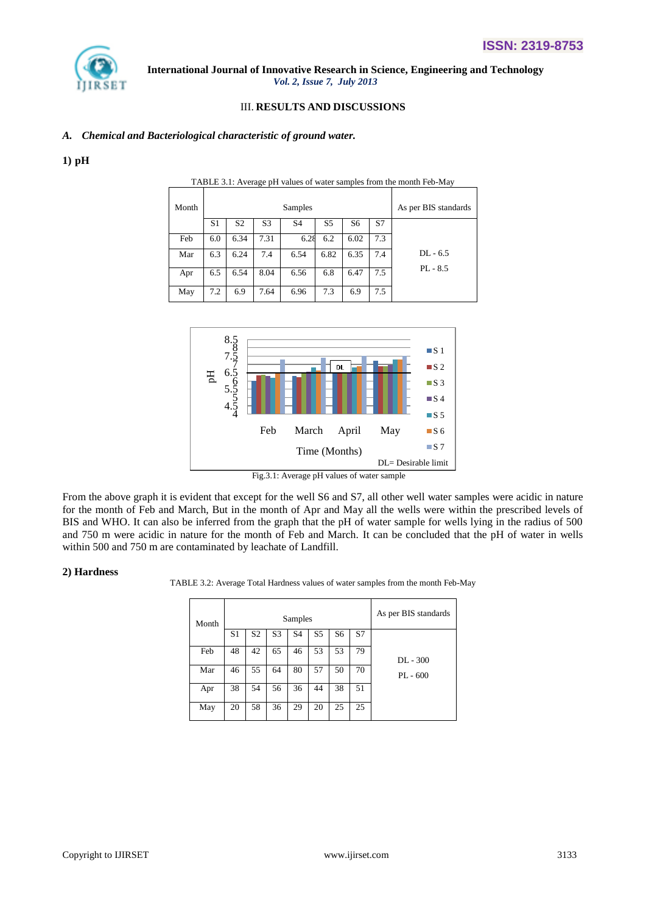

# III. **RESULTS AND DISCUSSIONS**

## *A. Chemical and Bacteriological characteristic of ground water.*

# **1) pH**

|       | TABLE 3.1: Average pH values of water samples from the month Feb-May |                |                |                      |      |      |     |            |  |  |  |  |
|-------|----------------------------------------------------------------------|----------------|----------------|----------------------|------|------|-----|------------|--|--|--|--|
| Month |                                                                      |                |                | As per BIS standards |      |      |     |            |  |  |  |  |
|       | S1                                                                   | S <sub>2</sub> | S <sub>3</sub> | S <sub>4</sub>       | S5   | S6   | S7  |            |  |  |  |  |
| Feb   | 6.0                                                                  | 6.34           | 7.31           | 6.28                 | 6.2  | 6.02 | 7.3 |            |  |  |  |  |
| Mar   | 6.3                                                                  | 6.24           | 7.4            | 6.54                 | 6.82 | 6.35 | 7.4 | $DL - 6.5$ |  |  |  |  |
| Apr   | 6.5                                                                  | 6.54           | 8.04           | 6.56                 | 6.8  | 6.47 | 7.5 | $PL - 8.5$ |  |  |  |  |
| May   | 7.2                                                                  | 6.9            | 7.64           | 6.96                 | 7.3  | 6.9  | 7.5 |            |  |  |  |  |



Fig.3.1: Average pH values of water sample

From the above graph it is evident that except for the well S6 and S7, all other well water samples were acidic in nature for the month of Feb and March, But in the month of Apr and May all the wells were within the prescribed levels of BIS and WHO. It can also be inferred from the graph that the pH of water sample for wells lying in the radius of 500 and 750 m were acidic in nature for the month of Feb and March. It can be concluded that the pH of water in wells within 500 and 750 m are contaminated by leachate of Landfill.

## **2) Hardness**

TABLE 3.2: Average Total Hardness values of water samples from the month Feb-May

| Month |                |                | Samples        | As per BIS standards |    |                |    |            |
|-------|----------------|----------------|----------------|----------------------|----|----------------|----|------------|
|       | S <sub>1</sub> | S <sub>2</sub> | S <sub>3</sub> | S <sub>4</sub>       | S5 | S <sub>6</sub> | S7 |            |
| Feb   | 48             | 42             | 65             | 46                   | 53 | 53             | 79 | DL - 300   |
| Mar   | 46             | 55             | 64             | 80                   | 57 | 50             | 70 | $PL - 600$ |
| Apr   | 38             | 54             | 56             | 36                   | 44 | 38             | 51 |            |
| May   | 20             | 58             | 36             | 29                   | 20 | 25             | 25 |            |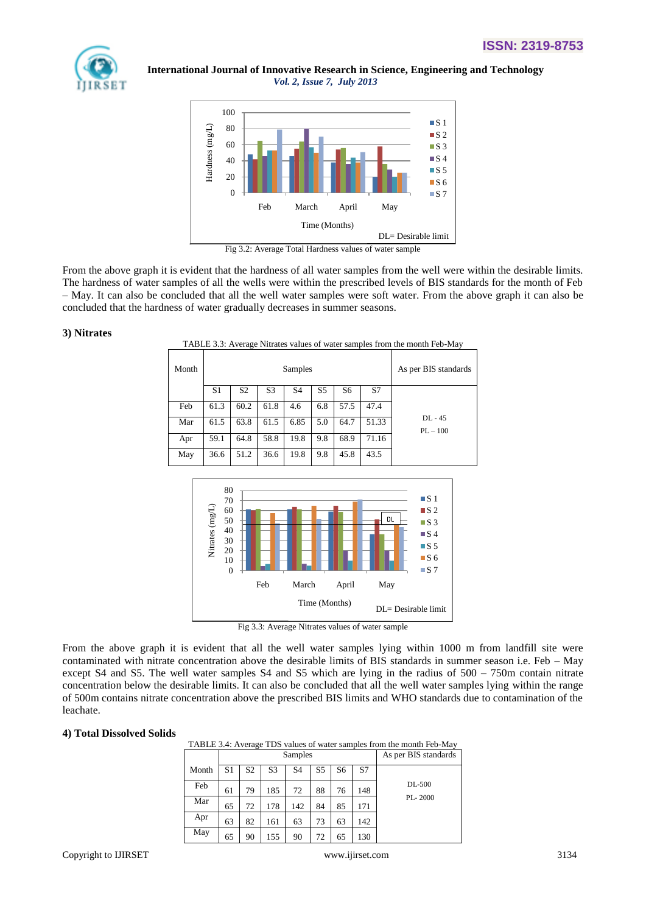



Fig 3.2: Average Total Hardness values of water sample

From the above graph it is evident that the hardness of all water samples from the well were within the desirable limits. The hardness of water samples of all the wells were within the prescribed levels of BIS standards for the month of Feb – May. It can also be concluded that all the well water samples were soft water. From the above graph it can also be concluded that the hardness of water gradually decreases in summer seasons.

## **3) Nitrates**

| Month |                |                | As per BIS standards |                |                |                |       |                         |
|-------|----------------|----------------|----------------------|----------------|----------------|----------------|-------|-------------------------|
|       | S <sub>1</sub> | S <sub>2</sub> | S <sub>3</sub>       | S <sub>4</sub> | S <sub>5</sub> | S <sub>6</sub> | S7    |                         |
| Feb   | 61.3           | 60.2           | 61.8                 | 4.6            | 6.8            | 57.5           | 47.4  |                         |
| Mar   | 61.5           | 63.8           | 61.5                 | 6.85           | 5.0            | 64.7           | 51.33 | $DI - 45$<br>$PL - 100$ |
| Apr   | 59.1           | 64.8           | 58.8                 | 19.8           | 9.8            | 68.9           | 71.16 |                         |
| May   | 36.6           | 51.2           | 36.6                 | 19.8           | 9.8            | 45.8           | 43.5  |                         |
|       |                |                |                      |                |                |                |       |                         |

#### TABLE 3.3: Average Nitrates values of water samples from the month Feb-May



Fig 3.3: Average Nitrates values of water sample

From the above graph it is evident that all the well water samples lying within 1000 m from landfill site were contaminated with nitrate concentration above the desirable limits of BIS standards in summer season i.e. Feb – May except S4 and S5. The well water samples S4 and S5 which are lying in the radius of 500 – 750m contain nitrate concentration below the desirable limits. It can also be concluded that all the well water samples lying within the range of 500m contains nitrate concentration above the prescribed BIS limits and WHO standards due to contamination of the leachate.

 $\text{DIF } 3.4: \text{Average TDR}$  values of water samples from the month  $\text{Fek} \text{ Mox}$ 

## **4) Total Dissolved Solids**

| TABLE 5.4. AVERGE TDS VAIDES OF WATER SAMPLES HOME THOMAT FED-MAY |    |                |                |                      |    |                |     |         |  |  |
|-------------------------------------------------------------------|----|----------------|----------------|----------------------|----|----------------|-----|---------|--|--|
|                                                                   |    |                | Samples        | As per BIS standards |    |                |     |         |  |  |
| Month                                                             | S1 | S <sub>2</sub> | S <sub>3</sub> | S4                   | S5 | S <sub>6</sub> | S7  |         |  |  |
| Feb                                                               | 61 | 79             | 185            | 72                   | 88 | 76             | 148 | DL-500  |  |  |
| Mar                                                               | 65 | 72             | 178            | 142                  | 84 | 85             | 171 | PL-2000 |  |  |
| Apr                                                               | 63 | 82             | 161            | 63                   | 73 | 63             | 142 |         |  |  |
| May                                                               | 65 | 90             | 155            | 90                   | 72 | 65             | 130 |         |  |  |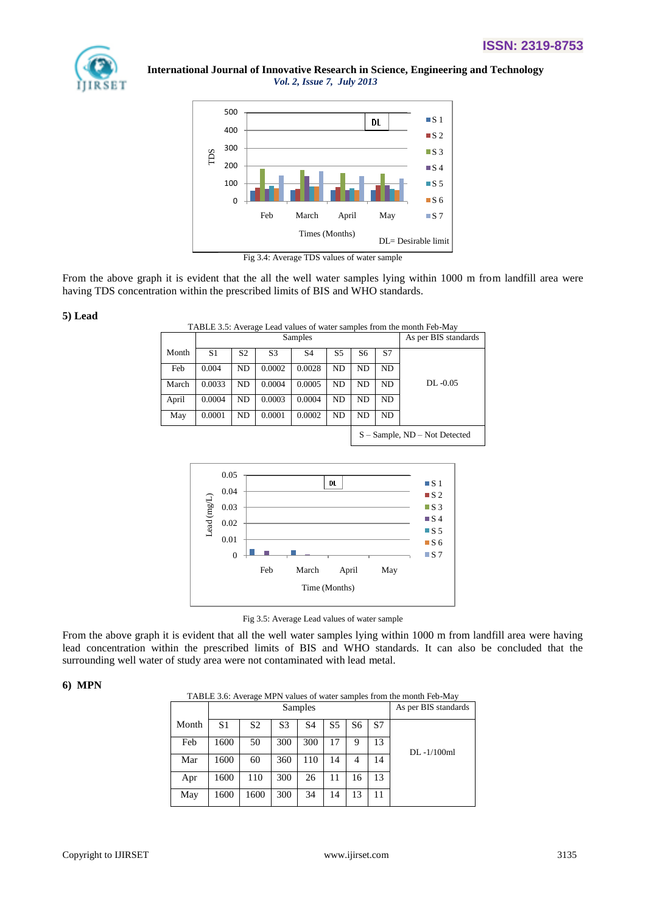



Fig 3.4: Average TDS values of water sample

From the above graph it is evident that the all the well water samples lying within 1000 m from landfill area were having TDS concentration within the prescribed limits of BIS and WHO standards.

## **5) Lead**

| TABLE 3.5: Average Lead values of water samples from the month Feb-May |        |                |                      |                |           |           |                |                                    |  |  |  |
|------------------------------------------------------------------------|--------|----------------|----------------------|----------------|-----------|-----------|----------------|------------------------------------|--|--|--|
|                                                                        |        |                | As per BIS standards |                |           |           |                |                                    |  |  |  |
| Month                                                                  | S1     | S <sub>2</sub> | S <sub>3</sub>       | S <sub>4</sub> | S5        | S6        | S7             |                                    |  |  |  |
| Feb                                                                    | 0.004  | ND.            | 0.0002               | 0.0028         | <b>ND</b> | <b>ND</b> | ND.            |                                    |  |  |  |
| March                                                                  | 0.0033 | N <sub>D</sub> | 0.0004               | 0.0005         | ND.       | ND.       | N <sub>D</sub> | $DL -0.05$                         |  |  |  |
| April                                                                  | 0.0004 | ND.            | 0.0003               | 0.0004         | <b>ND</b> | ND.       | ND.            |                                    |  |  |  |
| May                                                                    | 0.0001 | ND.            | 0.0001               | 0.0002         | ND.       | ND.       | ND.            |                                    |  |  |  |
|                                                                        |        |                |                      |                |           |           |                | $S - Sample$ , ND $-$ Not Detected |  |  |  |



Fig 3.5: Average Lead values of water sample

From the above graph it is evident that all the well water samples lying within 1000 m from landfill area were having lead concentration within the prescribed limits of BIS and WHO standards. It can also be concluded that the surrounding well water of study area were not contaminated with lead metal.

## **6) MPN**

TABLE 3.6: Average MPN values of water samples from the month Feb-May

|       |                | $\overline{\phantom{0}}$ | As per BIS standards |                |                |    |    |                |
|-------|----------------|--------------------------|----------------------|----------------|----------------|----|----|----------------|
| Month | S <sub>1</sub> | S <sub>2</sub>           | S <sub>3</sub>       | S <sub>4</sub> | S <sub>5</sub> | S6 | S7 |                |
| Feb   | 1600           | 50                       | 300                  | 300            | 17             | 9  | 13 | $DI. -1/100ml$ |
| Mar   | 1600           | 60                       | 360                  | 110            | 14             | 4  | 14 |                |
| Apr   | 1600           | 110                      | 300                  | 26             | 11             | 16 | 13 |                |
| May   | 1600           | 1600                     | 300                  | 34             | 14             | 13 | 11 |                |